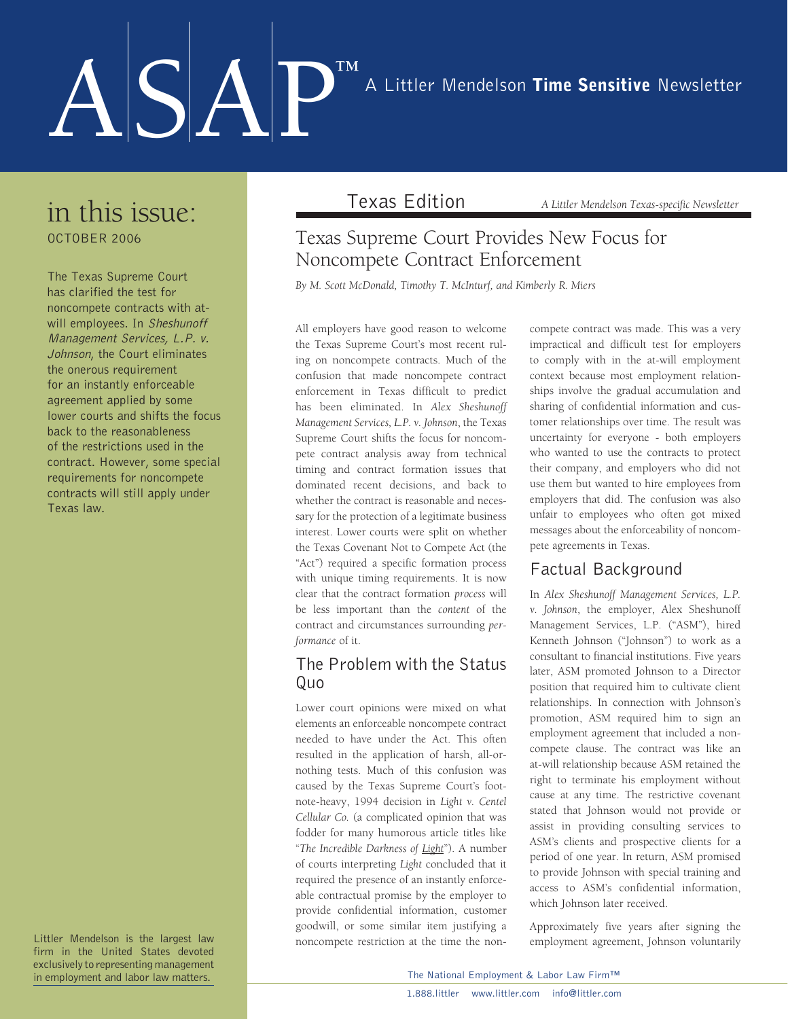# ASAP™ A Littler Mendelson Time Sensitive Newsletter

### in this issue: october 2006

The Texas Supreme Court has clarified the test for noncompete contracts with atwill employees. In Sheshunoff Management Services, L.P. v. Johnson, the Court eliminates the onerous requirement for an instantly enforceable agreement applied by some lower courts and shifts the focus back to the reasonableness of the restrictions used in the contract. However, some special requirements for noncompete contracts will still apply under Texas law.

Littler Mendelson is the largest law firm in the United States devoted exclusively to representing management in employment and labor law matters.

Texas Edition *A Littler Mendelson Texas-specific Newsletter* 

#### Texas Supreme Court Provides New Focus for Noncompete Contract Enforcement

*By M. Scott McDonald, Timothy T. McInturf, and Kimberly R. Miers*

All employers have good reason to welcome the Texas Supreme Court's most recent ruling on noncompete contracts. Much of the confusion that made noncompete contract enforcement in Texas difficult to predict has been eliminated. In *Alex Sheshunoff Management Services, L.P. v. Johnson*, the Texas Supreme Court shifts the focus for noncompete contract analysis away from technical timing and contract formation issues that dominated recent decisions, and back to whether the contract is reasonable and necessary for the protection of a legitimate business interest. Lower courts were split on whether the Texas Covenant Not to Compete Act (the "Act") required a specific formation process with unique timing requirements. It is now clear that the contract formation *process* will be less important than the *content* of the contract and circumstances surrounding *performance* of it.

#### The Problem with the Status Quo

Lower court opinions were mixed on what elements an enforceable noncompete contract needed to have under the Act. This often resulted in the application of harsh, all-ornothing tests. Much of this confusion was caused by the Texas Supreme Court's footnote-heavy, 1994 decision in *Light v. Centel Cellular Co.* (a complicated opinion that was fodder for many humorous article titles like "*The Incredible Darkness of Light*"). A number of courts interpreting *Light* concluded that it required the presence of an instantly enforceable contractual promise by the employer to provide confidential information, customer goodwill, or some similar item justifying a noncompete restriction at the time the noncompete contract was made. This was a very impractical and difficult test for employers to comply with in the at-will employment context because most employment relationships involve the gradual accumulation and sharing of confidential information and customer relationships over time. The result was uncertainty for everyone - both employers who wanted to use the contracts to protect their company, and employers who did not use them but wanted to hire employees from employers that did. The confusion was also unfair to employees who often got mixed messages about the enforceability of noncompete agreements in Texas.

#### Factual Background

In *Alex Sheshunoff Management Services, L.P. v. Johnson*, the employer, Alex Sheshunoff Management Services, L.P. ("ASM"), hired Kenneth Johnson ("Johnson") to work as a consultant to financial institutions. Five years later, ASM promoted Johnson to a Director position that required him to cultivate client relationships. In connection with Johnson's promotion, ASM required him to sign an employment agreement that included a noncompete clause. The contract was like an at-will relationship because ASM retained the right to terminate his employment without cause at any time. The restrictive covenant stated that Johnson would not provide or assist in providing consulting services to ASM's clients and prospective clients for a period of one year. In return, ASM promised to provide Johnson with special training and access to ASM's confidential information, which Johnson later received.

Approximately five years after signing the employment agreement, Johnson voluntarily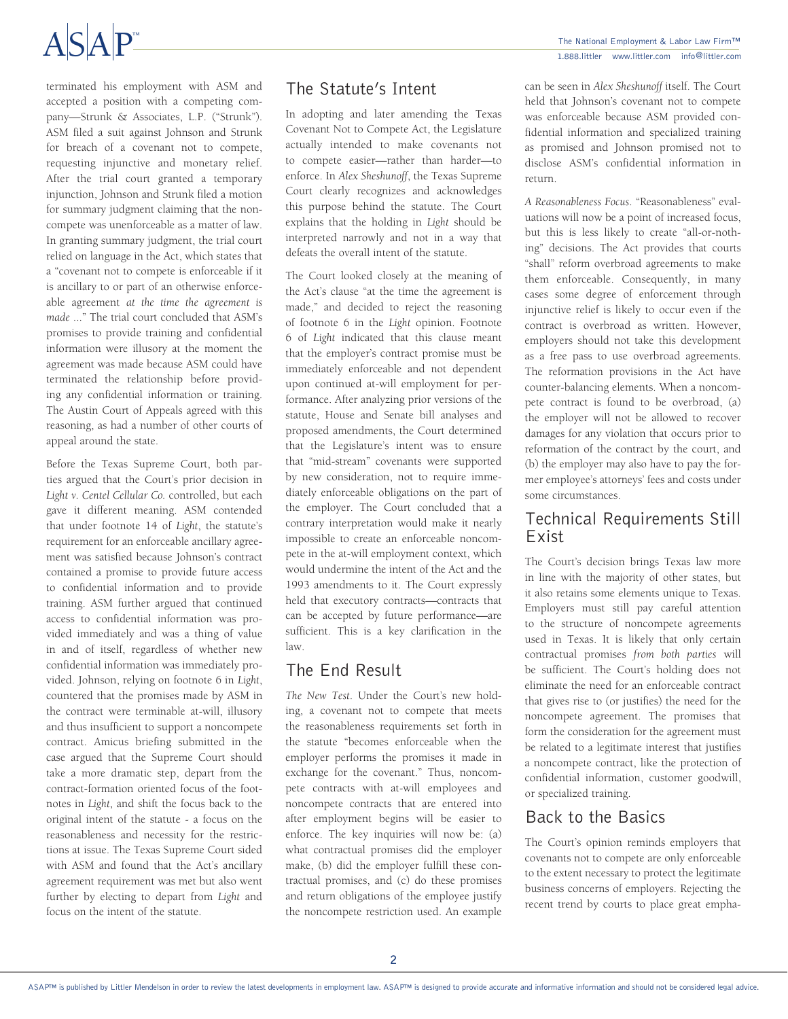## $ASAP$

terminated his employment with ASM and accepted a position with a competing company—Strunk & Associates, L.P. ("Strunk"). ASM filed a suit against Johnson and Strunk for breach of a covenant not to compete, requesting injunctive and monetary relief. After the trial court granted a temporary injunction, Johnson and Strunk filed a motion for summary judgment claiming that the noncompete was unenforceable as a matter of law. In granting summary judgment, the trial court relied on language in the Act, which states that a "covenant not to compete is enforceable if it is ancillary to or part of an otherwise enforceable agreement *at the time the agreement is made* ..." The trial court concluded that ASM's promises to provide training and confidential information were illusory at the moment the agreement was made because ASM could have terminated the relationship before providing any confidential information or training. The Austin Court of Appeals agreed with this reasoning, as had a number of other courts of appeal around the state.

Before the Texas Supreme Court, both parties argued that the Court's prior decision in *Light v. Centel Cellular Co.* controlled, but each gave it different meaning. ASM contended that under footnote 14 of *Light*, the statute's requirement for an enforceable ancillary agreement was satisfied because Johnson's contract contained a promise to provide future access to confidential information and to provide training. ASM further argued that continued access to confidential information was provided immediately and was a thing of value in and of itself, regardless of whether new confidential information was immediately provided. Johnson, relying on footnote 6 in *Light*, countered that the promises made by ASM in the contract were terminable at-will, illusory and thus insufficient to support a noncompete contract. Amicus briefing submitted in the case argued that the Supreme Court should take a more dramatic step, depart from the contract-formation oriented focus of the footnotes in *Light*, and shift the focus back to the original intent of the statute - a focus on the reasonableness and necessity for the restrictions at issue. The Texas Supreme Court sided with ASM and found that the Act's ancillary agreement requirement was met but also went further by electing to depart from *Light* and focus on the intent of the statute.

#### The Statute's Intent

In adopting and later amending the Texas Covenant Not to Compete Act, the Legislature actually intended to make covenants not to compete easier—rather than harder—to enforce. In *Alex Sheshunoff*, the Texas Supreme Court clearly recognizes and acknowledges this purpose behind the statute. The Court explains that the holding in *Light* should be interpreted narrowly and not in a way that defeats the overall intent of the statute.

The Court looked closely at the meaning of the Act's clause "at the time the agreement is made," and decided to reject the reasoning of footnote 6 in the *Light* opinion. Footnote 6 of *Light* indicated that this clause meant that the employer's contract promise must be immediately enforceable and not dependent upon continued at-will employment for performance. After analyzing prior versions of the statute, House and Senate bill analyses and proposed amendments, the Court determined that the Legislature's intent was to ensure that "mid-stream" covenants were supported by new consideration, not to require immediately enforceable obligations on the part of the employer. The Court concluded that a contrary interpretation would make it nearly impossible to create an enforceable noncompete in the at-will employment context, which would undermine the intent of the Act and the 1993 amendments to it. The Court expressly held that executory contracts—contracts that can be accepted by future performance—are sufficient. This is a key clarification in the law.

#### The End Result

*The New Test*. Under the Court's new holding, a covenant not to compete that meets the reasonableness requirements set forth in the statute "becomes enforceable when the employer performs the promises it made in exchange for the covenant." Thus, noncompete contracts with at-will employees and noncompete contracts that are entered into after employment begins will be easier to enforce. The key inquiries will now be: (a) what contractual promises did the employer make, (b) did the employer fulfill these contractual promises, and (c) do these promises and return obligations of the employee justify the noncompete restriction used. An example can be seen in *Alex Sheshunoff* itself. The Court held that Johnson's covenant not to compete was enforceable because ASM provided confidential information and specialized training as promised and Johnson promised not to disclose ASM's confidential information in return.

*A Reasonableness Focus*. "Reasonableness" evaluations will now be a point of increased focus, but this is less likely to create "all-or-nothing" decisions. The Act provides that courts "shall" reform overbroad agreements to make them enforceable. Consequently, in many cases some degree of enforcement through injunctive relief is likely to occur even if the contract is overbroad as written. However, employers should not take this development as a free pass to use overbroad agreements. The reformation provisions in the Act have counter-balancing elements. When a noncompete contract is found to be overbroad, (a) the employer will not be allowed to recover damages for any violation that occurs prior to reformation of the contract by the court, and (b) the employer may also have to pay the former employee's attorneys' fees and costs under some circumstances.

#### Technical Requirements Still Exist

The Court's decision brings Texas law more in line with the majority of other states, but it also retains some elements unique to Texas. Employers must still pay careful attention to the structure of noncompete agreements used in Texas. It is likely that only certain contractual promises *from both parties* will be sufficient. The Court's holding does not eliminate the need for an enforceable contract that gives rise to (or justifies) the need for the noncompete agreement. The promises that form the consideration for the agreement must be related to a legitimate interest that justifies a noncompete contract, like the protection of confidential information, customer goodwill, or specialized training.

#### Back to the Basics

The Court's opinion reminds employers that covenants not to compete are only enforceable to the extent necessary to protect the legitimate business concerns of employers. Rejecting the recent trend by courts to place great empha-